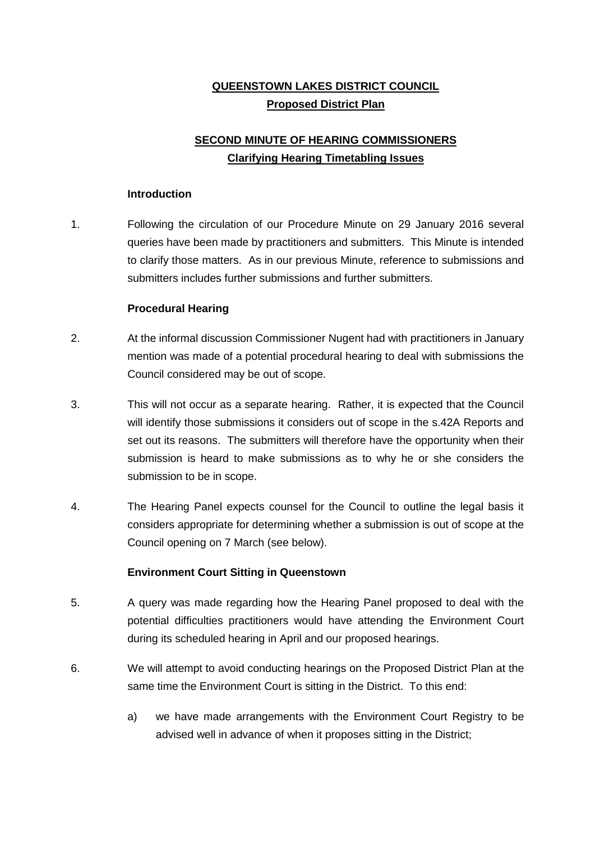## **QUEENSTOWN LAKES DISTRICT COUNCIL Proposed District Plan**

# **SECOND MINUTE OF HEARING COMMISSIONERS Clarifying Hearing Timetabling Issues**

#### **Introduction**

1. Following the circulation of our Procedure Minute on 29 January 2016 several queries have been made by practitioners and submitters. This Minute is intended to clarify those matters. As in our previous Minute, reference to submissions and submitters includes further submissions and further submitters.

#### **Procedural Hearing**

- 2. At the informal discussion Commissioner Nugent had with practitioners in January mention was made of a potential procedural hearing to deal with submissions the Council considered may be out of scope.
- 3. This will not occur as a separate hearing. Rather, it is expected that the Council will identify those submissions it considers out of scope in the s.42A Reports and set out its reasons. The submitters will therefore have the opportunity when their submission is heard to make submissions as to why he or she considers the submission to be in scope.
- 4. The Hearing Panel expects counsel for the Council to outline the legal basis it considers appropriate for determining whether a submission is out of scope at the Council opening on 7 March (see below).

### **Environment Court Sitting in Queenstown**

- 5. A query was made regarding how the Hearing Panel proposed to deal with the potential difficulties practitioners would have attending the Environment Court during its scheduled hearing in April and our proposed hearings.
- 6. We will attempt to avoid conducting hearings on the Proposed District Plan at the same time the Environment Court is sitting in the District. To this end:
	- a) we have made arrangements with the Environment Court Registry to be advised well in advance of when it proposes sitting in the District;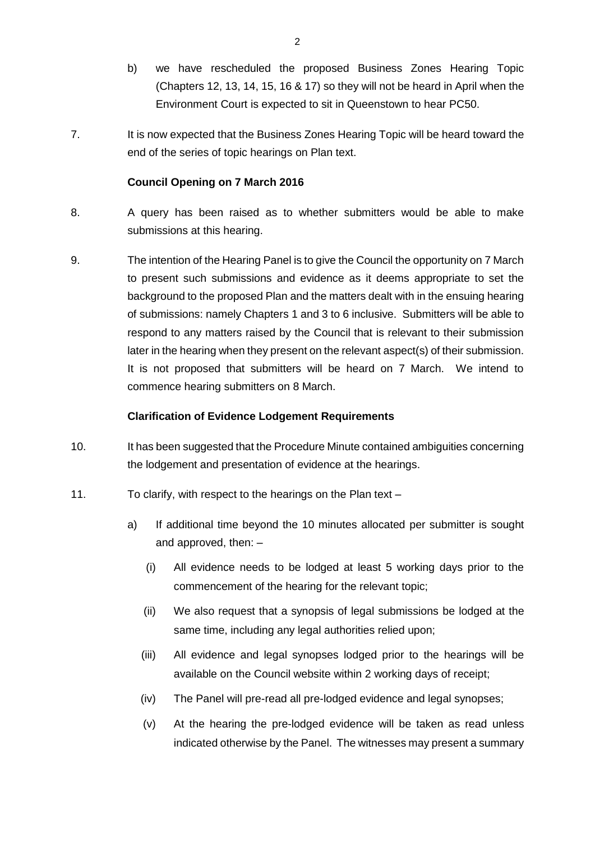- b) we have rescheduled the proposed Business Zones Hearing Topic (Chapters 12, 13, 14, 15, 16 & 17) so they will not be heard in April when the Environment Court is expected to sit in Queenstown to hear PC50.
- 7. It is now expected that the Business Zones Hearing Topic will be heard toward the end of the series of topic hearings on Plan text.

## **Council Opening on 7 March 2016**

- 8. A query has been raised as to whether submitters would be able to make submissions at this hearing.
- 9. The intention of the Hearing Panel is to give the Council the opportunity on 7 March to present such submissions and evidence as it deems appropriate to set the background to the proposed Plan and the matters dealt with in the ensuing hearing of submissions: namely Chapters 1 and 3 to 6 inclusive. Submitters will be able to respond to any matters raised by the Council that is relevant to their submission later in the hearing when they present on the relevant aspect(s) of their submission. It is not proposed that submitters will be heard on 7 March. We intend to commence hearing submitters on 8 March.

## **Clarification of Evidence Lodgement Requirements**

- 10. It has been suggested that the Procedure Minute contained ambiguities concerning the lodgement and presentation of evidence at the hearings.
- 11. To clarify, with respect to the hearings on the Plan text
	- a) If additional time beyond the 10 minutes allocated per submitter is sought and approved, then: –
		- (i) All evidence needs to be lodged at least 5 working days prior to the commencement of the hearing for the relevant topic;
		- (ii) We also request that a synopsis of legal submissions be lodged at the same time, including any legal authorities relied upon;
		- (iii) All evidence and legal synopses lodged prior to the hearings will be available on the Council website within 2 working days of receipt;
		- (iv) The Panel will pre-read all pre-lodged evidence and legal synopses;
		- (v) At the hearing the pre-lodged evidence will be taken as read unless indicated otherwise by the Panel. The witnesses may present a summary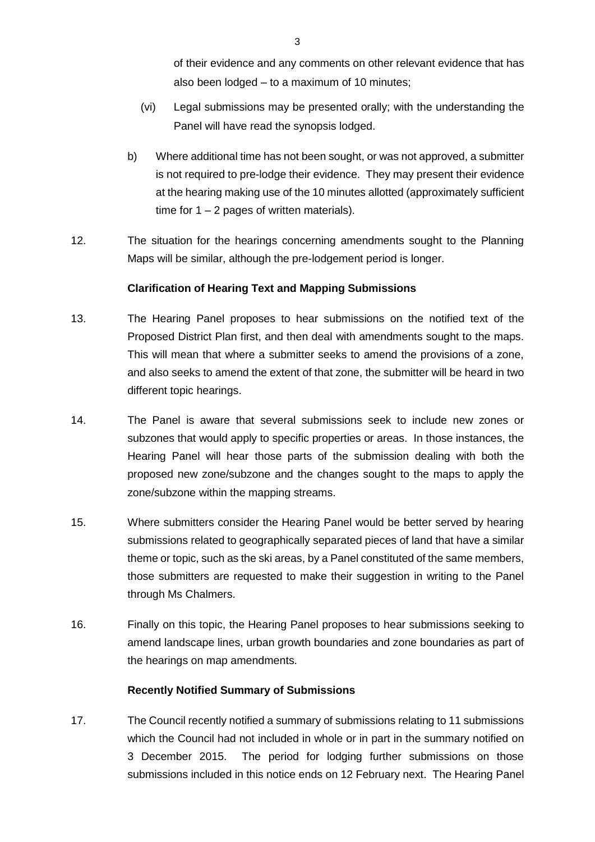of their evidence and any comments on other relevant evidence that has also been lodged – to a maximum of 10 minutes;

- (vi) Legal submissions may be presented orally; with the understanding the Panel will have read the synopsis lodged.
- b) Where additional time has not been sought, or was not approved, a submitter is not required to pre-lodge their evidence. They may present their evidence at the hearing making use of the 10 minutes allotted (approximately sufficient time for  $1 - 2$  pages of written materials).
- 12. The situation for the hearings concerning amendments sought to the Planning Maps will be similar, although the pre-lodgement period is longer.

## **Clarification of Hearing Text and Mapping Submissions**

- 13. The Hearing Panel proposes to hear submissions on the notified text of the Proposed District Plan first, and then deal with amendments sought to the maps. This will mean that where a submitter seeks to amend the provisions of a zone, and also seeks to amend the extent of that zone, the submitter will be heard in two different topic hearings.
- 14. The Panel is aware that several submissions seek to include new zones or subzones that would apply to specific properties or areas. In those instances, the Hearing Panel will hear those parts of the submission dealing with both the proposed new zone/subzone and the changes sought to the maps to apply the zone/subzone within the mapping streams.
- 15. Where submitters consider the Hearing Panel would be better served by hearing submissions related to geographically separated pieces of land that have a similar theme or topic, such as the ski areas, by a Panel constituted of the same members, those submitters are requested to make their suggestion in writing to the Panel through Ms Chalmers.
- 16. Finally on this topic, the Hearing Panel proposes to hear submissions seeking to amend landscape lines, urban growth boundaries and zone boundaries as part of the hearings on map amendments.

### **Recently Notified Summary of Submissions**

17. The Council recently notified a summary of submissions relating to 11 submissions which the Council had not included in whole or in part in the summary notified on 3 December 2015. The period for lodging further submissions on those submissions included in this notice ends on 12 February next. The Hearing Panel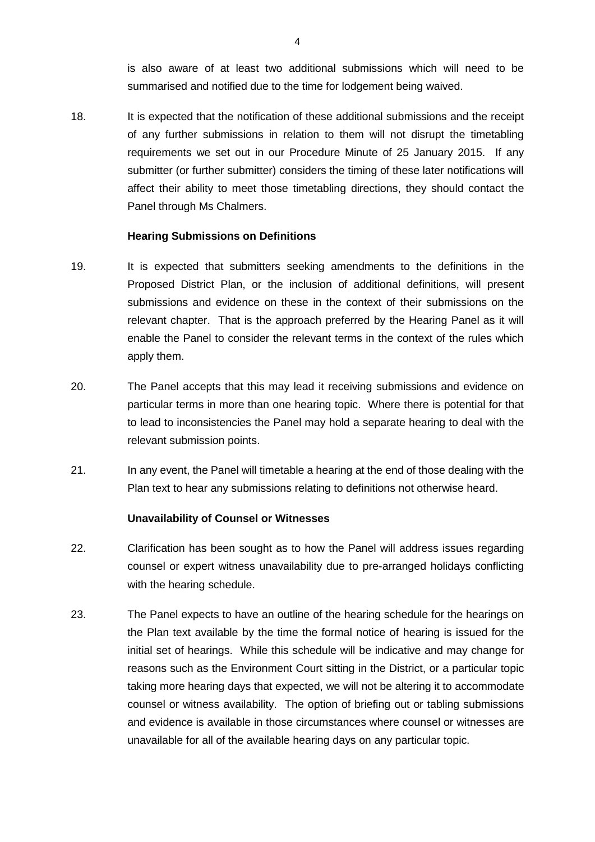is also aware of at least two additional submissions which will need to be summarised and notified due to the time for lodgement being waived.

18. It is expected that the notification of these additional submissions and the receipt of any further submissions in relation to them will not disrupt the timetabling requirements we set out in our Procedure Minute of 25 January 2015. If any submitter (or further submitter) considers the timing of these later notifications will affect their ability to meet those timetabling directions, they should contact the Panel through Ms Chalmers.

#### **Hearing Submissions on Definitions**

- 19. It is expected that submitters seeking amendments to the definitions in the Proposed District Plan, or the inclusion of additional definitions, will present submissions and evidence on these in the context of their submissions on the relevant chapter. That is the approach preferred by the Hearing Panel as it will enable the Panel to consider the relevant terms in the context of the rules which apply them.
- 20. The Panel accepts that this may lead it receiving submissions and evidence on particular terms in more than one hearing topic. Where there is potential for that to lead to inconsistencies the Panel may hold a separate hearing to deal with the relevant submission points.
- 21. In any event, the Panel will timetable a hearing at the end of those dealing with the Plan text to hear any submissions relating to definitions not otherwise heard.

#### **Unavailability of Counsel or Witnesses**

- 22. Clarification has been sought as to how the Panel will address issues regarding counsel or expert witness unavailability due to pre-arranged holidays conflicting with the hearing schedule.
- 23. The Panel expects to have an outline of the hearing schedule for the hearings on the Plan text available by the time the formal notice of hearing is issued for the initial set of hearings. While this schedule will be indicative and may change for reasons such as the Environment Court sitting in the District, or a particular topic taking more hearing days that expected, we will not be altering it to accommodate counsel or witness availability. The option of briefing out or tabling submissions and evidence is available in those circumstances where counsel or witnesses are unavailable for all of the available hearing days on any particular topic.